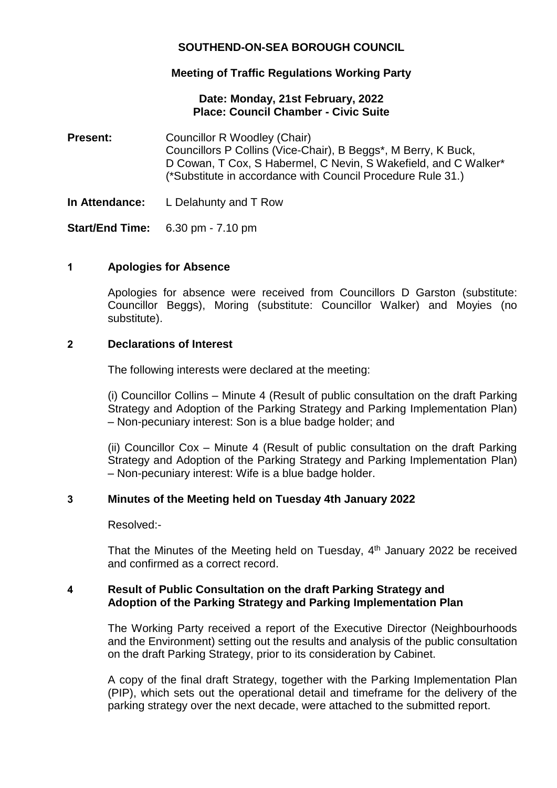# **SOUTHEND-ON-SEA BOROUGH COUNCIL**

# **Meeting of Traffic Regulations Working Party**

### **Date: Monday, 21st February, 2022 Place: Council Chamber - Civic Suite**

- **Present:** Councillor R Woodley (Chair) Councillors P Collins (Vice-Chair), B Beggs\*, M Berry, K Buck, D Cowan, T Cox, S Habermel, C Nevin, S Wakefield, and C Walker\* (\*Substitute in accordance with Council Procedure Rule 31.)
- **In Attendance:** L Delahunty and T Row

**Start/End Time:** 6.30 pm - 7.10 pm

### **1 Apologies for Absence**

Apologies for absence were received from Councillors D Garston (substitute: Councillor Beggs), Moring (substitute: Councillor Walker) and Moyies (no substitute).

### **2 Declarations of Interest**

The following interests were declared at the meeting:

(i) Councillor Collins – Minute 4 (Result of public consultation on the draft Parking Strategy and Adoption of the Parking Strategy and Parking Implementation Plan) – Non-pecuniary interest: Son is a blue badge holder; and

(ii) Councillor Cox – Minute 4 (Result of public consultation on the draft Parking Strategy and Adoption of the Parking Strategy and Parking Implementation Plan) – Non-pecuniary interest: Wife is a blue badge holder.

### **3 Minutes of the Meeting held on Tuesday 4th January 2022**

Resolved:-

That the Minutes of the Meeting held on Tuesday, 4<sup>th</sup> January 2022 be received and confirmed as a correct record.

### **4 Result of Public Consultation on the draft Parking Strategy and Adoption of the Parking Strategy and Parking Implementation Plan**

The Working Party received a report of the Executive Director (Neighbourhoods and the Environment) setting out the results and analysis of the public consultation on the draft Parking Strategy, prior to its consideration by Cabinet.

A copy of the final draft Strategy, together with the Parking Implementation Plan (PIP), which sets out the operational detail and timeframe for the delivery of the parking strategy over the next decade, were attached to the submitted report.